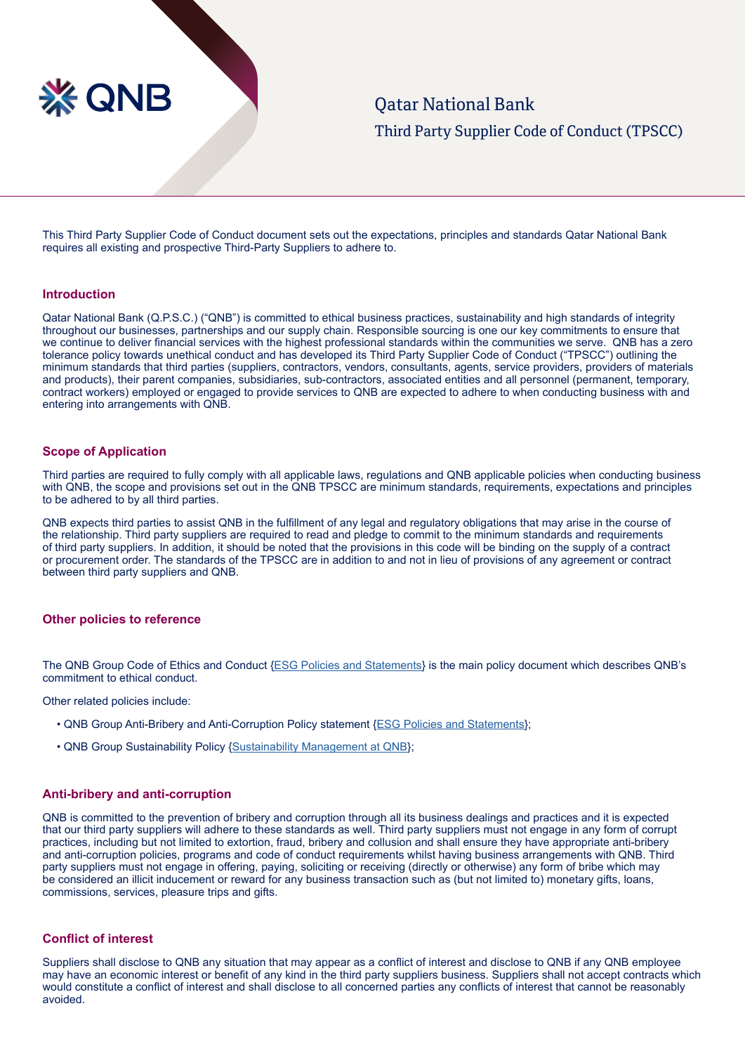

This Third Party Supplier Code of Conduct document sets out the expectations, principles and standards Qatar National Bank requires all existing and prospective Third-Party Suppliers to adhere to.

### **Introduction**

Qatar National Bank (Q.P.S.C.) ("QNB") is committed to ethical business practices, sustainability and high standards of integrity throughout our businesses, partnerships and our supply chain. Responsible sourcing is one our key commitments to ensure that we continue to deliver financial services with the highest professional standards within the communities we serve. QNB has a zero tolerance policy towards unethical conduct and has developed its Third Party Supplier Code of Conduct ("TPSCC") outlining the minimum standards that third parties (suppliers, contractors, vendors, consultants, agents, service providers, providers of materials and products), their parent companies, subsidiaries, sub-contractors, associated entities and all personnel (permanent, temporary, contract workers) employed or engaged to provide services to QNB are expected to adhere to when conducting business with and entering into arrangements with QNB.

#### **Scope of Application**

Third parties are required to fully comply with all applicable laws, regulations and QNB applicable policies when conducting business with QNB, the scope and provisions set out in the QNB TPSCC are minimum standards, requirements, expectations and principles to be adhered to by all third parties.

QNB expects third parties to assist QNB in the fulfillment of any legal and regulatory obligations that may arise in the course of the relationship. Third party suppliers are required to read and pledge to commit to the minimum standards and requirements of third party suppliers. In addition, it should be noted that the provisions in this code will be binding on the supply of a contract or procurement order. The standards of the TPSCC are in addition to and not in lieu of provisions of any agreement or contract between third party suppliers and QNB.

### **Other policies to reference**

The QNB Group Code of Ethics and Conduct [{ESG Policies and Statements](https://www.qnb.com/sites/qnb/qnbqatar/page/en/enesgpoliciesandstatements.html)} is the main policy document which describes QNB's commitment to ethical conduct.

Other related policies include:

- QNB Group Anti-Bribery and Anti-Corruption Policy statement [{ESG Policies and Statements](https://www.qnb.com/sites/qnb/qnbqatar/page/en/enesgpoliciesandstatements.html)};
- QNB Group Sustainability Policy {[Sustainability Management at QNB}](https://www.qnb.com/sites/qnb/qnbqatar/page/en/ensustainabilitymanagementatqnb.html);

# **Anti-bribery and anti-corruption**

QNB is committed to the prevention of bribery and corruption through all its business dealings and practices and it is expected that our third party suppliers will adhere to these standards as well. Third party suppliers must not engage in any form of corrupt practices, including but not limited to extortion, fraud, bribery and collusion and shall ensure they have appropriate anti-bribery and anti-corruption policies, programs and code of conduct requirements whilst having business arrangements with QNB. Third party suppliers must not engage in offering, paying, soliciting or receiving (directly or otherwise) any form of bribe which may be considered an illicit inducement or reward for any business transaction such as (but not limited to) monetary gifts, loans, commissions, services, pleasure trips and gifts.

# **Conflict of interest**

Suppliers shall disclose to QNB any situation that may appear as a conflict of interest and disclose to QNB if any QNB employee may have an economic interest or benefit of any kind in the third party suppliers business. Suppliers shall not accept contracts which would constitute a conflict of interest and shall disclose to all concerned parties any conflicts of interest that cannot be reasonably avoided.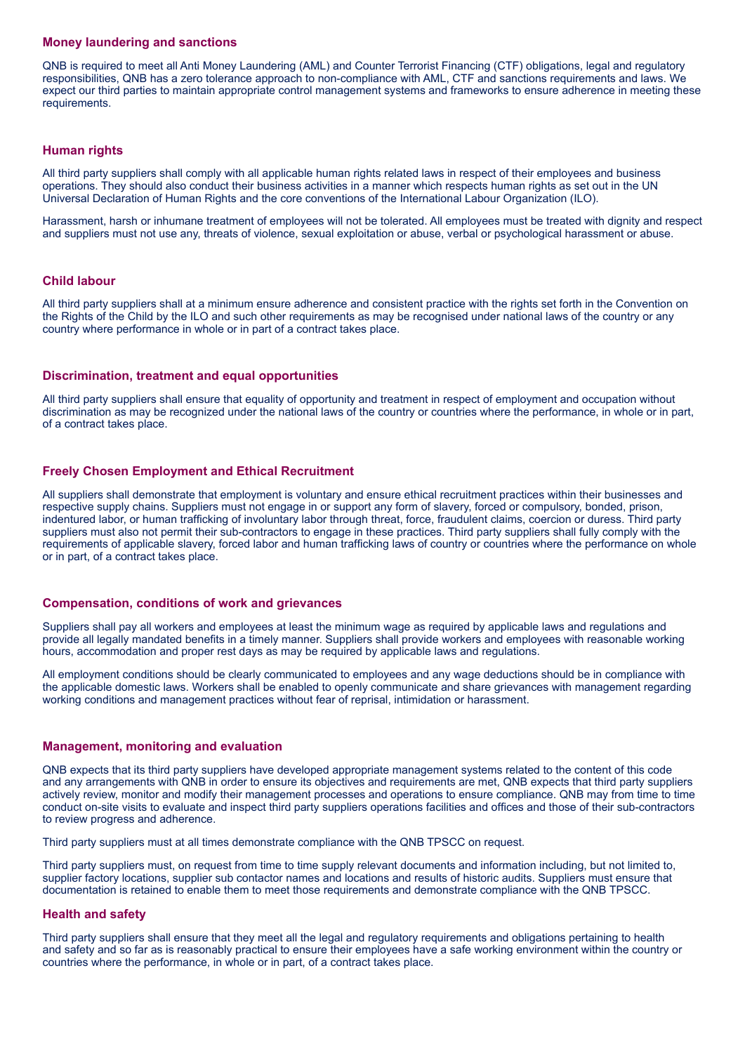# **Money laundering and sanctions**

QNB is required to meet all Anti Money Laundering (AML) and Counter Terrorist Financing (CTF) obligations, legal and regulatory responsibilities, QNB has a zero tolerance approach to non-compliance with AML, CTF and sanctions requirements and laws. We expect our third parties to maintain appropriate control management systems and frameworks to ensure adherence in meeting these requirements.

# **Human rights**

All third party suppliers shall comply with all applicable human rights related laws in respect of their employees and business operations. They should also conduct their business activities in a manner which respects human rights as set out in the UN Universal Declaration of Human Rights and the core conventions of the International Labour Organization (ILO).

Harassment, harsh or inhumane treatment of employees will not be tolerated. All employees must be treated with dignity and respect and suppliers must not use any, threats of violence, sexual exploitation or abuse, verbal or psychological harassment or abuse.

### **Child labour**

All third party suppliers shall at a minimum ensure adherence and consistent practice with the rights set forth in the Convention on the Rights of the Child by the ILO and such other requirements as may be recognised under national laws of the country or any country where performance in whole or in part of a contract takes place.

# **Discrimination, treatment and equal opportunities**

All third party suppliers shall ensure that equality of opportunity and treatment in respect of employment and occupation without discrimination as may be recognized under the national laws of the country or countries where the performance, in whole or in part, of a contract takes place.

# **Freely Chosen Employment and Ethical Recruitment**

All suppliers shall demonstrate that employment is voluntary and ensure ethical recruitment practices within their businesses and respective supply chains. Suppliers must not engage in or support any form of slavery, forced or compulsory, bonded, prison, indentured labor, or human trafficking of involuntary labor through threat, force, fraudulent claims, coercion or duress. Third party suppliers must also not permit their sub-contractors to engage in these practices. Third party suppliers shall fully comply with the requirements of applicable slavery, forced labor and human trafficking laws of country or countries where the performance on whole or in part, of a contract takes place.

#### **Compensation, conditions of work and grievances**

Suppliers shall pay all workers and employees at least the minimum wage as required by applicable laws and regulations and provide all legally mandated benefits in a timely manner. Suppliers shall provide workers and employees with reasonable working hours, accommodation and proper rest days as may be required by applicable laws and regulations.

All employment conditions should be clearly communicated to employees and any wage deductions should be in compliance with the applicable domestic laws. Workers shall be enabled to openly communicate and share grievances with management regarding working conditions and management practices without fear of reprisal, intimidation or harassment.

#### **Management, monitoring and evaluation**

QNB expects that its third party suppliers have developed appropriate management systems related to the content of this code and any arrangements with QNB in order to ensure its objectives and requirements are met, QNB expects that third party suppliers actively review, monitor and modify their management processes and operations to ensure compliance. QNB may from time to time conduct on-site visits to evaluate and inspect third party suppliers operations facilities and offices and those of their sub-contractors to review progress and adherence.

Third party suppliers must at all times demonstrate compliance with the QNB TPSCC on request.

Third party suppliers must, on request from time to time supply relevant documents and information including, but not limited to, supplier factory locations, supplier sub contactor names and locations and results of historic audits. Suppliers must ensure that documentation is retained to enable them to meet those requirements and demonstrate compliance with the QNB TPSCC.

### **Health and safety**

Third party suppliers shall ensure that they meet all the legal and regulatory requirements and obligations pertaining to health and safety and so far as is reasonably practical to ensure their employees have a safe working environment within the country or countries where the performance, in whole or in part, of a contract takes place.